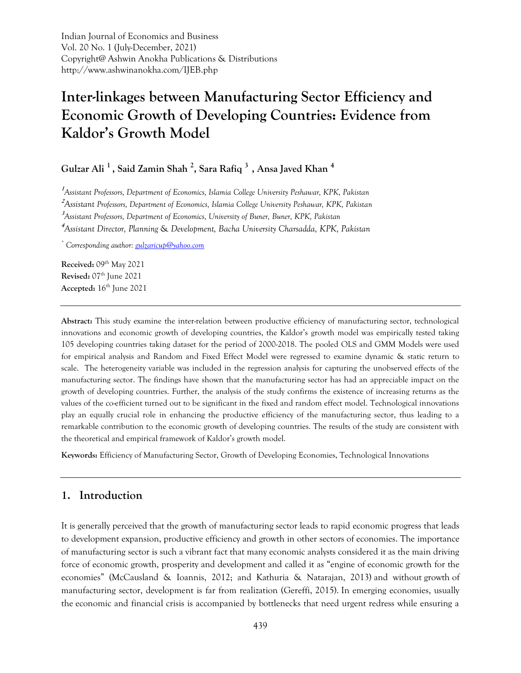Indian Journal of Economics and Business Vol. 20 No. 1 (July-December, 2021) Copyright@ Ashwin Anokha Publications & Distributions http://www.ashwinanokha.com/IJEB.php

# **Inter-linkages between Manufacturing Sector Efficiency and Economic Growth of Developing Countries: Evidence from Kaldor's Growth Model**

**Gulzar Ali <sup>1</sup> , Said Zamin Shah <sup>2</sup> , Sara Rafiq <sup>3</sup> , Ansa Javed Khan <sup>4</sup>**

**1** *Assistant Professors, Department of Economics, Islamia College University Peshawar, KPK, Pakistan* **<sup>2</sup>***Assistant Professors, Department of Economics, Islamia College University Peshawar, KPK, Pakistan* **3** *Assistant Professors, Department of Economics, University of Buner, Buner, KPK, Pakistan*

**<sup>4</sup>***Assistant Director, Planning* & *Development, Bacha University Charsadda, KPK, Pakistan*

*\* Corresponding author: [gulzaricup@yahoo.com](mailto:gulzaricup@yahoo.com)*

**Received:** 09<sup>th</sup> May 2021 **Revised:** 07 th June 2021 **Accepted:** 16 th June 2021

**Abstract:** This study examine the inter-relation between productive efficiency of manufacturing sector, technological innovations and economic growth of developing countries, the Kaldor's growth model was empirically tested taking 105 developing countries taking dataset for the period of 2000-2018. The pooled OLS and GMM Models were used for empirical analysis and Random and Fixed Effect Model were regressed to examine dynamic & static return to scale. The heterogeneity variable was included in the regression analysis for capturing the unobserved effects of the manufacturing sector. The findings have shown that the manufacturing sector has had an appreciable impact on the growth of developing countries. Further, the analysis of the study confirms the existence of increasing returns as the values of the co-efficient turned out to be significant in the fixed and random effect model. Technological innovations play an equally crucial role in enhancing the productive efficiency of the manufacturing sector, thus leading to a remarkable contribution to the economic growth of developing countries. The results of the study are consistent with the theoretical and empirical framework of Kaldor's growth model.

**Keywords:** Efficiency of Manufacturing Sector, Growth of Developing Economies, Technological Innovations

# **1. Introduction**

It is generally perceived that the growth of manufacturing sector leads to rapid economic progress that leads to development expansion, productive efficiency and growth in other sectors of economies. The importance of manufacturing sector is such a vibrant fact that many economic analysts considered it as the main driving force of economic growth, prosperity and development and called it as "engine of economic growth for the economies" (McCausland & Ioannis, 2012; and Kathuria & Natarajan, 2013) and without growth of manufacturing sector, development is far from realization (Gereffi, 2015). In emerging economies, usually the economic and financial crisis is accompanied by bottlenecks that need urgent redress while ensuring a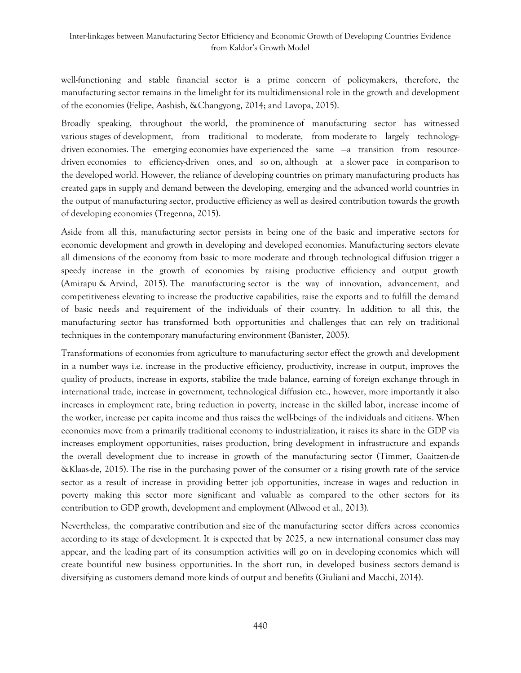well-functioning and stable financial sector is a prime concern of policymakers, therefore, the manufacturing sector remains in the limelight for its multidimensional role in the growth and development of the economies (Felipe, Aashish, &Changyong, 2014; and Lavopa, 2015).

Broadly speaking, throughout the world, the prominence of manufacturing sector has witnessed various stages of development, from traditional to moderate, from moderate to largely technologydriven economies. The emerging economies have experienced the same  $-a$  transition from resourcedriven economies to efficiency-driven ones, and so on, although at a slower pace in comparison to the developed world. However, the reliance of developing countries on primary manufacturing products has created gaps in supply and demand between the developing, emerging and the advanced world countries in the output of manufacturing sector, productive efficiency as well as desired contribution towards the growth of developing economies (Tregenna, 2015).

Aside from all this, manufacturing sector persists in being one of the basic and imperative sectors for economic development and growth in developing and developed economies. Manufacturing sectors elevate all dimensions of the economy from basic to more moderate and through technological diffusion trigger a speedy increase in the growth of economies by raising productive efficiency and output growth (Amirapu & Arvind, 2015). The manufacturing sector is the way of innovation, advancement, and competitiveness elevating to increase the productive capabilities, raise the exports and to fulfill the demand of basic needs and requirement of the individuals of their country. In addition to all this, the manufacturing sector has transformed both opportunities and challenges that can rely on traditional techniques in the contemporary manufacturing environment (Banister, 2005).

Transformations of economies from agriculture to manufacturing sector effect the growth and development in a number ways i.e. increase in the productive efficiency, productivity, increase in output, improves the quality of products, increase in exports, stabilize the trade balance, earning of foreign exchange through in international trade, increase in government, technological diffusion etc., however, more importantly it also increases in employment rate, bring reduction in poverty, increase in the skilled labor, increase income of the worker, increase per capita income and thus raises the well-beings of the individuals and citizens. When economies move from a primarily traditional economy to industrialization, it raises its share in the GDP via increases employment opportunities, raises production, bring development in infrastructure and expands the overall development due to increase in growth of the manufacturing sector (Timmer, Gaaitzen-de &Klaas-de, 2015). The rise in the purchasing power of the consumer or a rising growth rate of the service sector as a result of increase in providing better job opportunities, increase in wages and reduction in poverty making this sector more significant and valuable as compared to the other sectors for its contribution to GDP growth, development and employment (Allwood et al., 2013).

Nevertheless, the comparative contribution and size of the manufacturing sector differs across economies according to its stage of development. It is expected that by 2025, a new international consumer class may appear, and the leading part of its consumption activities will go on in developing economies which will create bountiful new business opportunities. In the short run, in developed business sectors demand is diversifying as customers demand more kinds of output and benefits (Giuliani and Macchi, 2014).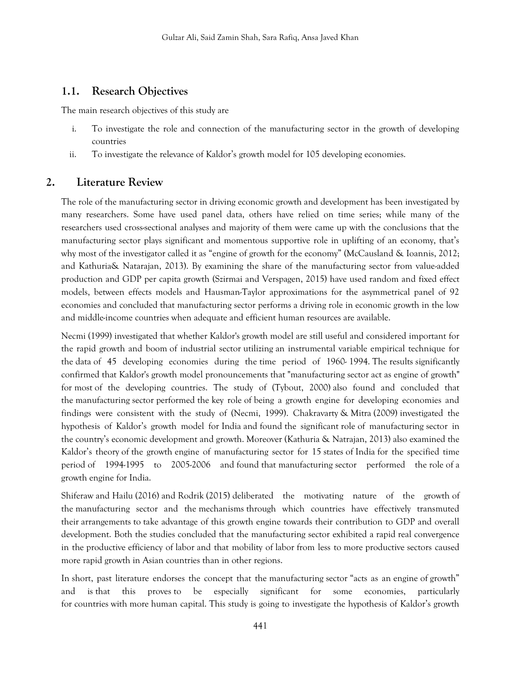## **1.1. Research Objectives**

The main research objectives of this study are

- i. To investigate the role and connection of the manufacturing sector in the growth of developing countries
- ii. To investigate the relevance of Kaldor's growth model for 105 developing economies.

# **2. Literature Review**

The role of the manufacturing sector in driving economic growth and development has been investigated by many researchers. Some have used panel data, others have relied on time series; while many of the researchers used cross-sectional analyses and majority of them were came up with the conclusions that the manufacturing sector plays significant and momentous supportive role in uplifting of an economy, that's why most of the investigator called it as "engine of growth for the economy" (McCausland & Ioannis, 2012; and Kathuria& Natarajan, 2013). By examining the share of the manufacturing sector from value-added production and GDP per capita growth (Szirmai and Verspagen, 2015) have used random and fixed effect models, between effects models and Hausman-Taylor approximations for the asymmetrical panel of 92 economies and concluded that manufacturing sector performs a driving role in economic growth in the low and middle-income countries when adequate and efficient human resources are available.

Necmi (1999) investigated that whether Kaldor's growth model are still useful and considered important for the rapid growth and boom of industrial sector utilizing an instrumental variable empirical technique for the data of 45 developing economies during the time period of 1960- 1994. The results significantly confirmed that Kaldor's growth model pronouncements that "manufacturing sector act as engine of growth" for most of the developing countries. The study of (Tybout, 2000) also found and concluded that the manufacturing sector performed the key role of being a growth engine for developing economies and findings were consistent with the study of (Necmi, 1999). Chakravarty & Mitra (2009) investigated the hypothesis of Kaldor's growth model for India and found the significant role of manufacturing sector in the country's economic development and growth. Moreover (Kathuria & Natrajan, 2013) also examined the Kaldor's theory of the growth engine of manufacturing sector for 15 states of India for the specified time period of 1994-1995 to 2005-2006 and found that manufacturing sector performed the role of a growth engine for India.

Shiferaw and Hailu (2016) and Rodrik (2015) deliberated the motivating nature of the growth of the manufacturing sector and the mechanisms through which countries have effectively transmuted their arrangements to take advantage of this growth engine towards their contribution to GDP and overall development. Both the studies concluded that the manufacturing sector exhibited a rapid real convergence in the productive efficiency of labor and that mobility of labor from less to more productive sectors caused more rapid growth in Asian countries than in other regions.

In short, past literature endorses the concept that the manufacturing sector "acts as an engine of growth" and is that this proves to be especially significant for some economies, particularly for countries with more human capital. This study is going to investigate the hypothesis of Kaldor's growth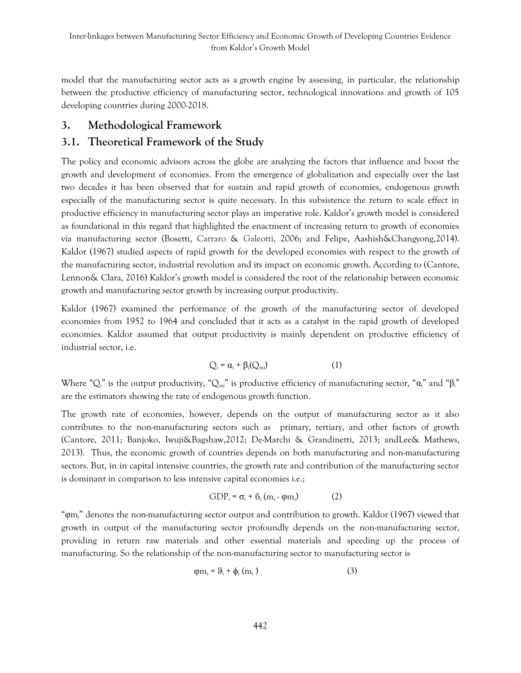model that the manufacturing sector acts as a growth engine by assessing, in particular, the relationship between the productive efficiency of manufacturing sector, technological innovations and growth of 105 developing countries during 2000-2018.

# **3. Methodological Framework**

# **3.1. Theoretical Framework of the Study**

The policy and economic advisors across the globe are analyzing the factors that influence and boost the growth and development of economies. From the emergence of globalization and especially over the last two decades it has been observed that for sustain and rapid growth of economies, endogenous growth especially of the manufacturing sector is quite necessary. In this subsistence the return to scale effect in productive efficiency in manufacturing sector plays an imperative role. Kaldor's growth model is considered as foundational in this regard that highlighted the enactment of increasing return to growth of economies via manufacturing sector (Bosetti, Carraro & Galeotti, 2006; and Felipe, Aashish&Changyong,2014). Kaldor (1967) studied aspects of rapid growth for the developed economies with respect to the growth of the manufacturing sector, industrial revolution and its impact on economic growth. According to (Cantore, Lennon& Clara, 2016) Kaldor's growth model is considered the root of the relationship between economic growth and manufacturing sector growth by increasing output productivity.

Kaldor (1967) examined the performance of the growth of the manufacturing sector of developed economies from 1952 to 1964 and concluded that it acts as a catalyst in the rapid growth of developed economies. Kaldor assumed that output productivity is mainly dependent on productive efficiency of industrial sector, i.e.

$$
Q_i = \alpha_i + \beta_i(Q_{mi})
$$
 (1)

Where "Q<sub>i</sub>" is the output productivity, "Q<sub>m</sub><sup>"</sup> is productive efficiency of manufacturing sector, " $\alpha$ <sub>i</sub>" and " $\beta$ <sub>i</sub>" are the estimators showing the rate of endogenous growth function.

The growth rate of economies, however, depends on the output of manufacturing sector as it also contributes to the non-manufacturing sectors such as primary, tertiary, and other factors of growth (Cantore, 2011; Banjoko, Iwuji&Bagshaw,2012; De-Marchi & Grandinetti, 2013; andLee& Mathews, 2013). Thus, the economic growth of countries depends on both manufacturing and non-manufacturing sectors. But, in in capital intensive countries, the growth rate and contribution of the manufacturing sector is dominant in comparison to less intensive capital economies i.e.;

$$
GDP_i = \sigma_i + \delta_i (m_i \cdot \varphi m_i)
$$
 (2)

"φmi" denotes the non-manufacturing sector output and contribution to growth. Kaldor (1967) viewed that growth in output of the manufacturing sector profoundly depends on the non-manufacturing sector, providing in return raw materials and other essential materials and speeding up the process of manufacturing. So the relationship of the non-manufacturing sector to manufacturing sector is

$$
\varphi m_i = \vartheta_i + \varphi_i \left( m_i \right) \tag{3}
$$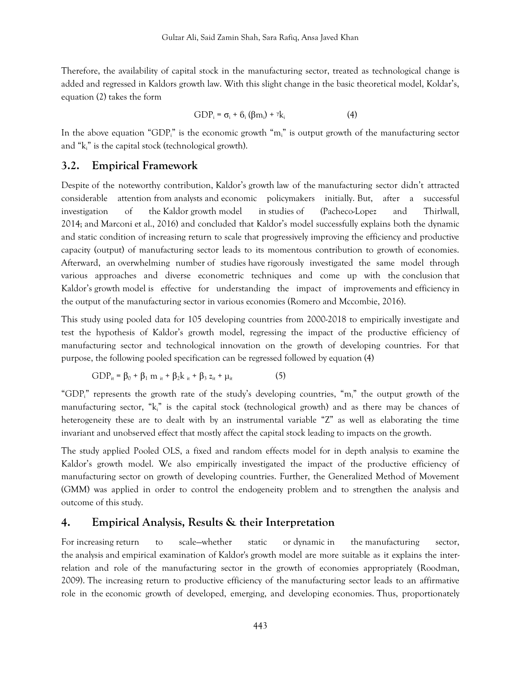Therefore, the availability of capital stock in the manufacturing sector, treated as technological change is added and regressed in Kaldors growth law. With this slight change in the basic theoretical model, Koldar's, equation (2) takes the form

$$
GDP_i = \sigma_i + \delta_i (\beta m_i) + \gamma k_i \tag{4}
$$

In the above equation "GDP<sub>i</sub>" is the economic growth "m<sub>i</sub>" is output growth of the manufacturing sector and "ki" is the capital stock (technological growth).

#### **3.2. Empirical Framework**

Despite of the noteworthy contribution, Kaldor's growth law of the manufacturing sector didn't attracted considerable attention from analysts and economic policymakers initially. But, after a successful investigation of the Kaldor growth model in studies of (Pacheco-Lopez and Thirlwall, 2014; and Marconi et al., 2016) and concluded that Kaldor's model successfully explains both the dynamic and static condition of increasing return to scale that progressively improving the efficiency and productive capacity (output) of manufacturing sector leads to its momentous contribution to growth of economies. Afterward, an overwhelming number of studies have rigorously investigated the same model through various approaches and diverse econometric techniques and come up with the conclusion that Kaldor's growth model is effective for understanding the impact of improvements and efficiency in the output of the manufacturing sector in various economies (Romero and Mccombie, 2016).

This study using pooled data for 105 developing countries from 2000-2018 to empirically investigate and test the hypothesis of Kaldor's growth model, regressing the impact of the productive efficiency of manufacturing sector and technological innovation on the growth of developing countries. For that purpose, the following pooled specification can be regressed followed by equation (4)

$$
GDP_{it} = \beta_0 + \beta_1 m_{it} + \beta_2 k_{it} + \beta_3 z_{it} + \mu_{it}
$$
 (5)

"GDP<sub>i</sub>" represents the growth rate of the study's developing countries, "m<sub>i</sub>" the output growth of the manufacturing sector, "ki" is the capital stock (technological growth) and as there may be chances of heterogeneity these are to dealt with by an instrumental variable "Z" as well as elaborating the time invariant and unobserved effect that mostly affect the capital stock leading to impacts on the growth.

The study applied Pooled OLS, a fixed and random effects model for in depth analysis to examine the Kaldor's growth model. We also empirically investigated the impact of the productive efficiency of manufacturing sector on growth of developing countries. Further, the Generalized Method of Movement (GMM) was applied in order to control the endogeneity problem and to strengthen the analysis and outcome of this study.

# **4. Empirical Analysis, Results & their Interpretation**

For increasing return to scale—whether static or dynamic in the manufacturing sector, the analysis and empirical examination of Kaldor's growth model are more suitable as it explains the interrelation and role of the manufacturing sector in the growth of economies appropriately (Roodman, 2009). The increasing return to productive efficiency of the manufacturing sector leads to an affirmative role in the economic growth of developed, emerging, and developing economies. Thus, proportionately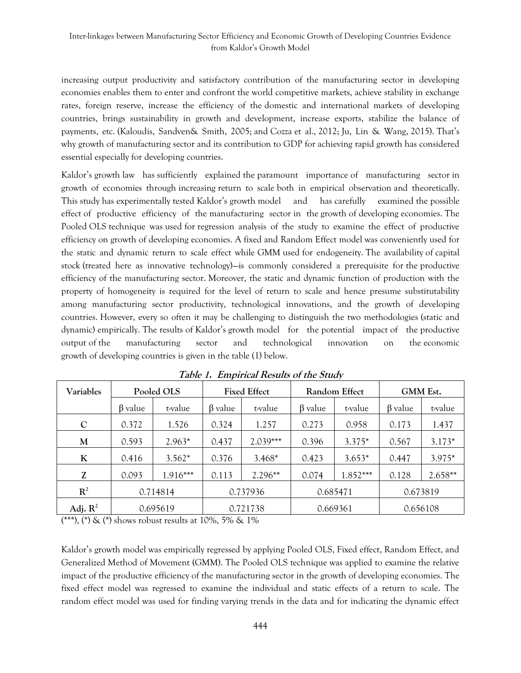increasing output productivity and satisfactory contribution of the manufacturing sector in developing economies enables them to enter and confront the world competitive markets, achieve stability in exchange rates, foreign reserve, increase the efficiency of the domestic and international markets of developing countries, brings sustainability in growth and development, increase exports, stabilize the balance of payments, etc. (Kaloudis, Sandven& Smith, 2005; and Cozza et al., 2012; Ju, Lin & Wang, 2015). That's why growth of manufacturing sector and its contribution to GDP for achieving rapid growth has considered essential especially for developing countries.

Kaldor's growth law has sufficiently explained the paramount importance of manufacturing sector in growth of economies through increasing return to scale both in empirical observation and theoretically. This study has experimentally tested Kaldor's growth model and has carefully examined the possible effect of productive efficiency of the manufacturing sector in the growth of developing economies. The Pooled OLS technique was used for regression analysis of the study to examine the effect of productive efficiency on growth of developing economies. A fixed and Random Effect model was conveniently used for the static and dynamic return to scale effect while GMM used for endogeneity. The availability of capital stock (treated here as innovative technology)—is commonly considered a prerequisite for the productive efficiency of the manufacturing sector. Moreover, the static and dynamic function of production with the property of homogeneity is required for the level of return to scale and hence presume substitutability among manufacturing sector productivity, technological innovations, and the growth of developing countries. However, every so often it may be challenging to distinguish the two methodologies (static and dynamic) empirically. The results of Kaldor's growth model for the potential impact of the productive output of the manufacturing sector and technological innovation on the economic growth of developing countries is given in the table (1) below.

| Variables           | Pooled OLS    |            | <b>Fixed Effect</b> |            | Random Effect |            | GMM Est.      |           |
|---------------------|---------------|------------|---------------------|------------|---------------|------------|---------------|-----------|
|                     | $\beta$ value | t-value    | $\beta$ value       | t-value    | $\beta$ value | t-value    | $\beta$ value | t-value   |
| $\mathbf C$         | 0.372         | 1.526      | 0.324               | 1.257      | 0.273         | 0.958      | 0.173         | 1.437     |
| M                   | 0.593         | $2.963*$   | 0.437               | $2.039***$ | 0.396         | $3.375*$   | 0.567         | $3.173*$  |
| K                   | 0.416         | $3.562*$   | 0.376               | $3.468*$   | 0.423         | $3.653*$   | 0.447         | $3.975*$  |
| Z                   | 0.093         | $1.916***$ | 0.113               | $2.296**$  | 0.074         | $1.852***$ | 0.128         | $2.658**$ |
| $R^2$               | 0.714814      |            | 0.737936            |            | 0.685471      |            | 0.673819      |           |
| Adj. $\mathbb{R}^2$ | 0.695619      |            | 0.721738            |            | 0.669361      |            | 0.656108      |           |

**Table 1. Empirical Results of the Study**

(**\*\*\***), (**\***) & (**\***) shows robust results at 10%, 5% & 1%

Kaldor's growth model was empirically regressed by applying Pooled OLS, Fixed effect, Random Effect, and Generalized Method of Movement (GMM). The Pooled OLS technique was applied to examine the relative impact of the productive efficiency of the manufacturing sector in the growth of developing economies. The fixed effect model was regressed to examine the individual and static effects of a return to scale. The random effect model was used for finding varying trends in the data and for indicating the dynamic effect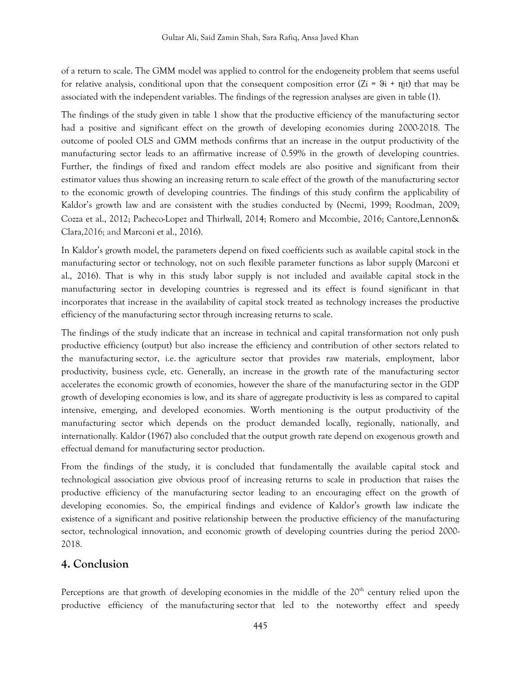of a return to scale. The GMM model was applied to control for the endogeneity problem that seems useful for relative analysis, conditional upon that the consequent composition error  $(Zi = 9i + \eta it)$  that may be associated with the independent variables. The findings of the regression analyses are given in table (1).

The findings of the study given in table 1 show that the productive efficiency of the manufacturing sector had a positive and significant effect on the growth of developing economies during 2000-2018. The outcome of pooled OLS and GMM methods confirms that an increase in the output productivity of the manufacturing sector leads to an affirmative increase of 0.59% in the growth of developing countries. Further, the findings of fixed and random effect models are also positive and significant from their estimator values thus showing an increasing return to scale effect of the growth of the manufacturing sector to the economic growth of developing countries. The findings of this study confirm the applicability of Kaldor's growth law and are consistent with the studies conducted by (Necmi, 1999; Roodman, 2009; Cozza et al., 2012; Pacheco-Lopez and Thirlwall, 2014; Romero and Mccombie, 2016; Cantore,Lennon& Clara,2016; and Marconi et al., 2016).

In Kaldor's growth model, the parameters depend on fixed coefficients such as available capital stock in the manufacturing sector or technology, not on such flexible parameter functions as labor supply (Marconi et al., 2016). That is why in this study labor supply is not included and available capital stock in the manufacturing sector in developing countries is regressed and its effect is found significant in that incorporates that increase in the availability of capital stock treated as technology increases the productive efficiency of the manufacturing sector through increasing returns to scale.

The findings of the study indicate that an increase in technical and capital transformation not only push productive efficiency (output) but also increase the efficiency and contribution of other sectors related to the manufacturing sector, i.e. the agriculture sector that provides raw materials, employment, labor productivity, business cycle, etc. Generally, an increase in the growth rate of the manufacturing sector accelerates the economic growth of economies, however the share of the manufacturing sector in the GDP growth of developing economies is low, and its share of aggregate productivity is less as compared to capital intensive, emerging, and developed economies. Worth mentioning is the output productivity of the manufacturing sector which depends on the product demanded locally, regionally, nationally, and internationally. Kaldor (1967) also concluded that the output growth rate depend on exogenous growth and effectual demand for manufacturing sector production.

From the findings of the study, it is concluded that fundamentally the available capital stock and technological association give obvious proof of increasing returns to scale in production that raises the productive efficiency of the manufacturing sector leading to an encouraging effect on the growth of developing economies. So, the empirical findings and evidence of Kaldor's growth law indicate the existence of a significant and positive relationship between the productive efficiency of the manufacturing sector, technological innovation, and economic growth of developing countries during the period 2000- 2018.

# **4. Conclusion**

Perceptions are that growth of developing economies in the middle of the  $20<sup>th</sup>$  century relied upon the productive efficiency of the manufacturing sector that led to the noteworthy effect and speedy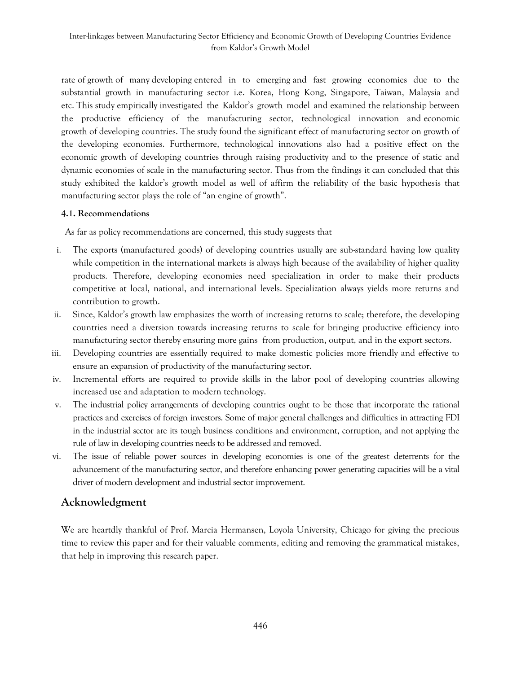rate of growth of many developing entered in to emerging and fast growing economies due to the substantial growth in manufacturing sector i.e. Korea, Hong Kong, Singapore, Taiwan, Malaysia and etc. This study empirically investigated the Kaldor's growth model and examined the relationship between the productive efficiency of the manufacturing sector, technological innovation and economic growth of developing countries. The study found the significant effect of manufacturing sector on growth of the developing economies. Furthermore, technological innovations also had a positive effect on the economic growth of developing countries through raising productivity and to the presence of static and dynamic economies of scale in the manufacturing sector. Thus from the findings it can concluded that this study exhibited the kaldor's growth model as well of affirm the reliability of the basic hypothesis that manufacturing sector plays the role of "an engine of growth".

#### **4.1. Recommendations**

As far as policy recommendations are concerned, this study suggests that

- i. The exports (manufactured goods) of developing countries usually are sub-standard having low quality while competition in the international markets is always high because of the availability of higher quality products. Therefore, developing economies need specialization in order to make their products competitive at local, national, and international levels. Specialization always yields more returns and contribution to growth.
- ii. Since, Kaldor's growth law emphasizes the worth of increasing returns to scale; therefore, the developing countries need a diversion towards increasing returns to scale for bringing productive efficiency into manufacturing sector thereby ensuring more gains from production, output, and in the export sectors.
- iii. Developing countries are essentially required to make domestic policies more friendly and effective to ensure an expansion of productivity of the manufacturing sector.
- iv. Incremental efforts are required to provide skills in the labor pool of developing countries allowing increased use and adaptation to modern technology.
- v. The industrial policy arrangements of developing countries ought to be those that incorporate the rational practices and exercises of foreign investors. Some of major general challenges and difficulties in attracting FDI in the industrial sector are its tough business conditions and environment, corruption, and not applying the rule of law in developing countries needs to be addressed and removed.
- vi. The issue of reliable power sources in developing economies is one of the greatest deterrents for the advancement of the manufacturing sector, and therefore enhancing power generating capacities will be a vital driver of modern development and industrial sector improvement.

# **Acknowledgment**

We are heartdly thankful of Prof. Marcia Hermansen, Loyola University, Chicago for giving the precious time to review this paper and for their valuable comments, editing and removing the grammatical mistakes, that help in improving this research paper.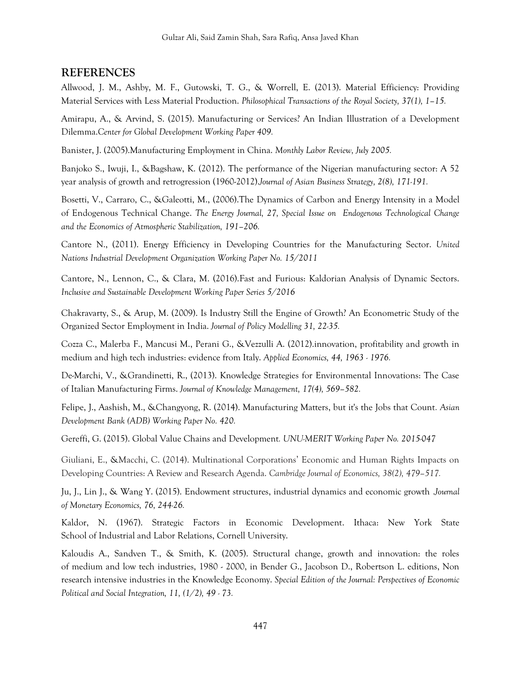## **REFERENCES**

Allwood, J. M., Ashby, M. F., Gutowski, T. G., & Worrell, E. (2013). Material Efficiency: Providing Material Services with Less Material Production. *Philosophical Transactions of the Royal Society, 37(1), 1–15.*

Amirapu, A., & Arvind, S. (2015). Manufacturing or Services? An Indian Illustration of a Development Dilemma.*Center for Global Development Working Paper 409.*

Banister, J. (2005).Manufacturing Employment in China. *Monthly Labor Review, July 2005.*

Banjoko S., Iwuji, I., &Bagshaw, K. (2012). The performance of the Nigerian manufacturing sector: A 52 year analysis of growth and retrogression (1960-2012).*Journal of Asian Business Strategy, 2(8), 171-191.*

Bosetti, V., Carraro, C., &Galeotti, M., (2006).The Dynamics of Carbon and Energy Intensity in a Model of Endogenous Technical Change. *The Energy Journal, 27, Special Issue on Endogenous Technological Change and the Economics of Atmospheric Stabilization, 191–206.*

Cantore N., (2011). Energy Efficiency in Developing Countries for the Manufacturing Sector. *United Nations Industrial Development Organization Working Paper No. 15/2011*

Cantore, N., Lennon, C., & Clara, M. (2016).Fast and Furious: Kaldorian Analysis of Dynamic Sectors. *Inclusive and Sustainable Development Working Paper Series 5/2016*

Chakravarty, S., & Arup, M. (2009). Is Industry Still the Engine of Growth? An Econometric Study of the Organized Sector Employment in India. *Journal of Policy Modelling 31, 22-35.*

Cozza C., Malerba F., Mancusi M., Perani G., &Vezzulli A. (2012).innovation, profitability and growth in medium and high tech industries: evidence from Italy. *Applied Economics, 44, 1963 - 1976.*

De-Marchi, V., &Grandinetti, R., (2013). Knowledge Strategies for Environmental Innovations: The Case of Italian Manufacturing Firms. *Journal of Knowledge Management, 17(4), 569–582.*

Felipe, J., Aashish, M., &Changyong, R. (2014). Manufacturing Matters, but it's the Jobs that Count*. Asian Development Bank (ADB) Working Paper No. 420.*

Gereffi, G. (2015). Global Value Chains and Development*. UNU-MERIT Working Paper No. 2015-047*

Giuliani, E., &Macchi, C. (2014). Multinational Corporations' Economic and Human Rights Impacts on Developing Countries: A Review and Research Agenda. *Cambridge Journal of Economics, 38(2), 479–517.*

Ju, J., Lin J., & Wang Y. (2015). Endowment structures, industrial dynamics and economic growth .*Journal of Monetary Economics, 76, 244-26.*

Kaldor, N. (1967). Strategic Factors in Economic Development. Ithaca: New York State School of Industrial and Labor Relations, Cornell University.

Kaloudis A., Sandven T., & Smith, K. (2005). Structural change, growth and innovation: the roles of medium and low tech industries, 1980 - 2000, in Bender G., Jacobson D., Robertson L. editions, Non research intensive industries in the Knowledge Economy. *Special Edition of the Journal: Perspectives of Economic Political and Social Integration, 11, (1/2), 49 - 73.*